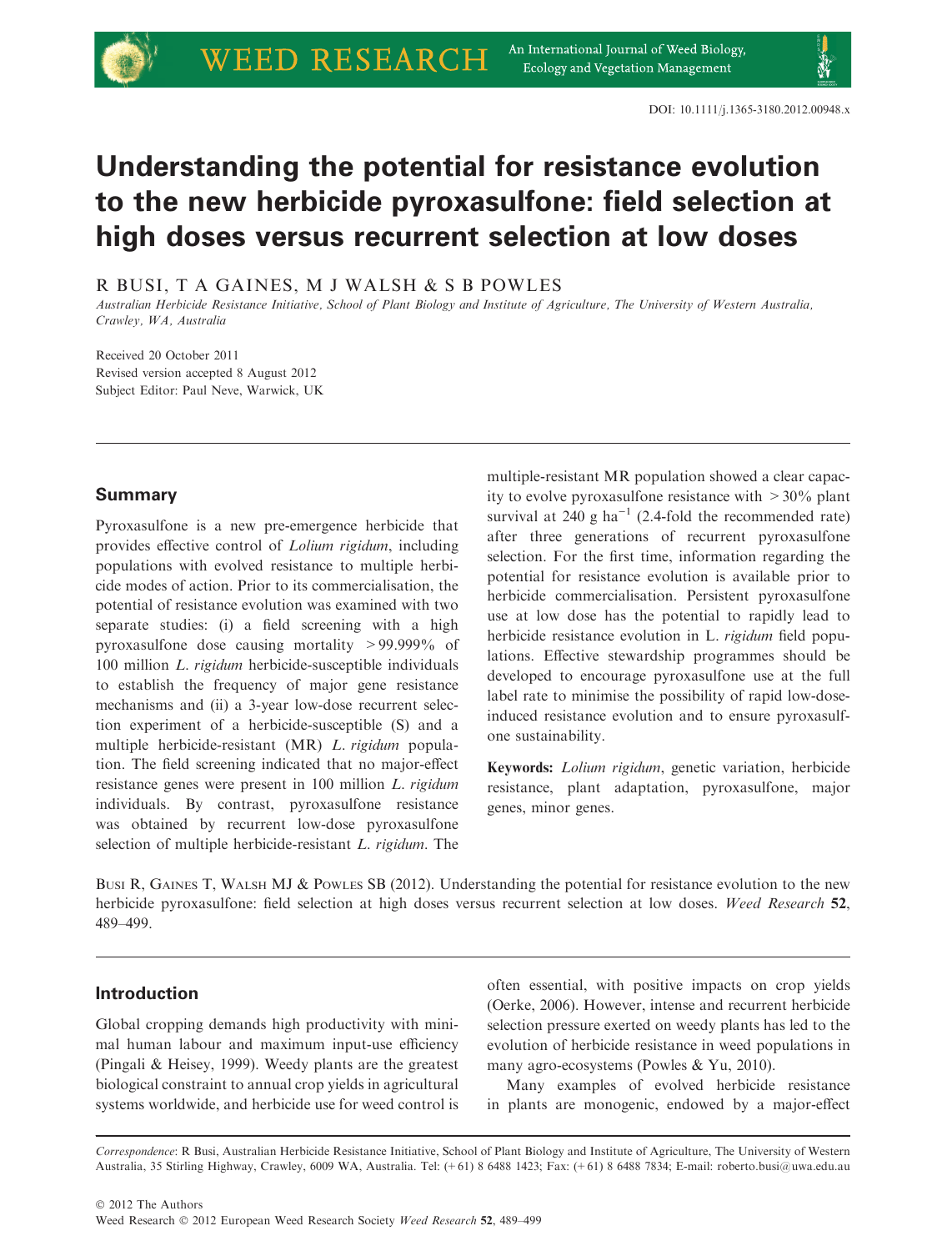# Understanding the potential for resistance evolution to the new herbicide pyroxasulfone: field selection at high doses versus recurrent selection at low doses

R BUSI, T A GAINES, M J WALSH & S B POWLES

Australian Herbicide Resistance Initiative, School of Plant Biology and Institute of Agriculture, The University of Western Australia, Crawley, WA, Australia

Received 20 October 2011 Revised version accepted 8 August 2012 Subject Editor: Paul Neve, Warwick, UK

## Summary

Pyroxasulfone is a new pre-emergence herbicide that provides effective control of Lolium rigidum, including populations with evolved resistance to multiple herbicide modes of action. Prior to its commercialisation, the potential of resistance evolution was examined with two separate studies: (i) a field screening with a high pyroxasulfone dose causing mortality >99.999% of 100 million L. rigidum herbicide-susceptible individuals to establish the frequency of major gene resistance mechanisms and (ii) a 3-year low-dose recurrent selection experiment of a herbicide-susceptible (S) and a multiple herbicide-resistant (MR) L. rigidum population. The field screening indicated that no major-effect resistance genes were present in 100 million L. rigidum individuals. By contrast, pyroxasulfone resistance was obtained by recurrent low-dose pyroxasulfone selection of multiple herbicide-resistant L. rigidum. The multiple-resistant MR population showed a clear capacity to evolve pyroxasulfone resistance with  $>30\%$  plant survival at 240 g ha<sup>-1</sup> (2.4-fold the recommended rate) after three generations of recurrent pyroxasulfone selection. For the first time, information regarding the potential for resistance evolution is available prior to herbicide commercialisation. Persistent pyroxasulfone use at low dose has the potential to rapidly lead to herbicide resistance evolution in L. rigidum field populations. Effective stewardship programmes should be developed to encourage pyroxasulfone use at the full label rate to minimise the possibility of rapid low-doseinduced resistance evolution and to ensure pyroxasulfone sustainability.

Keywords: Lolium rigidum, genetic variation, herbicide resistance, plant adaptation, pyroxasulfone, major genes, minor genes.

BUSI R, GAINES T, WALSH MJ & POWLES SB (2012). Understanding the potential for resistance evolution to the new herbicide pyroxasulfone: field selection at high doses versus recurrent selection at low doses. Weed Research 52, 489–499.

## Introduction

Global cropping demands high productivity with minimal human labour and maximum input-use efficiency (Pingali & Heisey, 1999). Weedy plants are the greatest biological constraint to annual crop yields in agricultural systems worldwide, and herbicide use for weed control is

often essential, with positive impacts on crop yields (Oerke, 2006). However, intense and recurrent herbicide selection pressure exerted on weedy plants has led to the evolution of herbicide resistance in weed populations in many agro-ecosystems (Powles & Yu, 2010).

Many examples of evolved herbicide resistance in plants are monogenic, endowed by a major-effect

Correspondence: R Busi, Australian Herbicide Resistance Initiative, School of Plant Biology and Institute of Agriculture, The University of Western Australia, 35 Stirling Highway, Crawley, 6009 WA, Australia. Tel: (+61) 8 6488 1423; Fax: (+61) 8 6488 7834; E-mail: roberto.busi@uwa.edu.au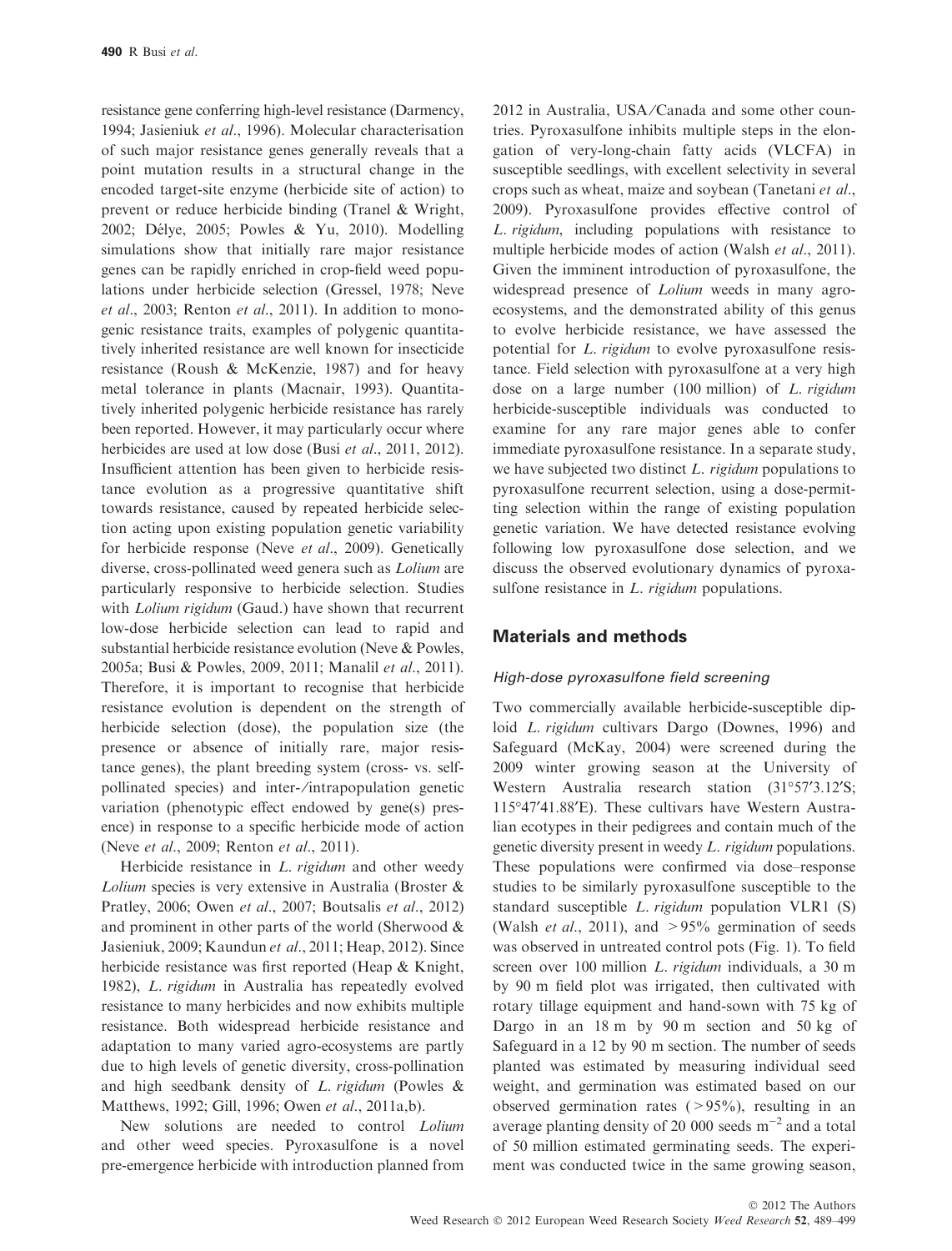resistance gene conferring high-level resistance (Darmency, 1994; Jasieniuk et al., 1996). Molecular characterisation of such major resistance genes generally reveals that a point mutation results in a structural change in the encoded target-site enzyme (herbicide site of action) to prevent or reduce herbicide binding (Tranel & Wright, 2002; Délye, 2005; Powles & Yu, 2010). Modelling simulations show that initially rare major resistance genes can be rapidly enriched in crop-field weed populations under herbicide selection (Gressel, 1978; Neve et al., 2003; Renton et al., 2011). In addition to monogenic resistance traits, examples of polygenic quantitatively inherited resistance are well known for insecticide resistance (Roush & McKenzie, 1987) and for heavy metal tolerance in plants (Macnair, 1993). Quantitatively inherited polygenic herbicide resistance has rarely been reported. However, it may particularly occur where herbicides are used at low dose (Busi et al., 2011, 2012). Insufficient attention has been given to herbicide resistance evolution as a progressive quantitative shift towards resistance, caused by repeated herbicide selection acting upon existing population genetic variability for herbicide response (Neve et al., 2009). Genetically diverse, cross-pollinated weed genera such as Lolium are particularly responsive to herbicide selection. Studies with *Lolium rigidum* (Gaud.) have shown that recurrent low-dose herbicide selection can lead to rapid and substantial herbicide resistance evolution (Neve & Powles, 2005a; Busi & Powles, 2009, 2011; Manalil et al., 2011). Therefore, it is important to recognise that herbicide resistance evolution is dependent on the strength of herbicide selection (dose), the population size (the presence or absence of initially rare, major resistance genes), the plant breeding system (cross- vs. selfpollinated species) and inter- ⁄ intrapopulation genetic variation (phenotypic effect endowed by gene(s) presence) in response to a specific herbicide mode of action (Neve et al., 2009; Renton et al., 2011).

Herbicide resistance in *L. rigidum* and other weedy Lolium species is very extensive in Australia (Broster & Pratley, 2006; Owen et al., 2007; Boutsalis et al., 2012) and prominent in other parts of the world (Sherwood & Jasieniuk, 2009; Kaundun et al., 2011; Heap, 2012). Since herbicide resistance was first reported (Heap & Knight, 1982), L. rigidum in Australia has repeatedly evolved resistance to many herbicides and now exhibits multiple resistance. Both widespread herbicide resistance and adaptation to many varied agro-ecosystems are partly due to high levels of genetic diversity, cross-pollination and high seedbank density of  $L$ . rigidum (Powles  $\&$ Matthews, 1992; Gill, 1996; Owen et al., 2011a,b).

New solutions are needed to control Lolium and other weed species. Pyroxasulfone is a novel pre-emergence herbicide with introduction planned from 2012 in Australia, USA/Canada and some other countries. Pyroxasulfone inhibits multiple steps in the elongation of very-long-chain fatty acids (VLCFA) in susceptible seedlings, with excellent selectivity in several crops such as wheat, maize and soybean (Tanetani et al., 2009). Pyroxasulfone provides effective control of L. rigidum, including populations with resistance to multiple herbicide modes of action (Walsh et al., 2011). Given the imminent introduction of pyroxasulfone, the widespread presence of *Lolium* weeds in many agroecosystems, and the demonstrated ability of this genus to evolve herbicide resistance, we have assessed the potential for L. rigidum to evolve pyroxasulfone resistance. Field selection with pyroxasulfone at a very high dose on a large number (100 million) of L. rigidum herbicide-susceptible individuals was conducted to examine for any rare major genes able to confer immediate pyroxasulfone resistance. In a separate study, we have subjected two distinct  $L$ . rigidum populations to pyroxasulfone recurrent selection, using a dose-permitting selection within the range of existing population genetic variation. We have detected resistance evolving following low pyroxasulfone dose selection, and we discuss the observed evolutionary dynamics of pyroxasulfone resistance in L. *rigidum* populations.

## Materials and methods

#### High-dose pyroxasulfone field screening

Two commercially available herbicide-susceptible diploid *L. rigidum* cultivars Dargo (Downes, 1996) and Safeguard (McKay, 2004) were screened during the 2009 winter growing season at the University of Western Australia research station (31°57′3.12′S; 11547¢41.88¢E). These cultivars have Western Australian ecotypes in their pedigrees and contain much of the genetic diversity present in weedy L. rigidum populations. These populations were confirmed via dose–response studies to be similarly pyroxasulfone susceptible to the standard susceptible L. rigidum population VLR1 (S) (Walsh *et al.*, 2011), and  $>95\%$  germination of seeds was observed in untreated control pots (Fig. 1). To field screen over 100 million L. rigidum individuals, a 30 m by 90 m field plot was irrigated, then cultivated with rotary tillage equipment and hand-sown with 75 kg of Dargo in an 18 m by 90 m section and 50 kg of Safeguard in a 12 by 90 m section. The number of seeds planted was estimated by measuring individual seed weight, and germination was estimated based on our observed germination rates (>95%), resulting in an average planting density of 20 000 seeds  $m^{-2}$  and a total of 50 million estimated germinating seeds. The experiment was conducted twice in the same growing season,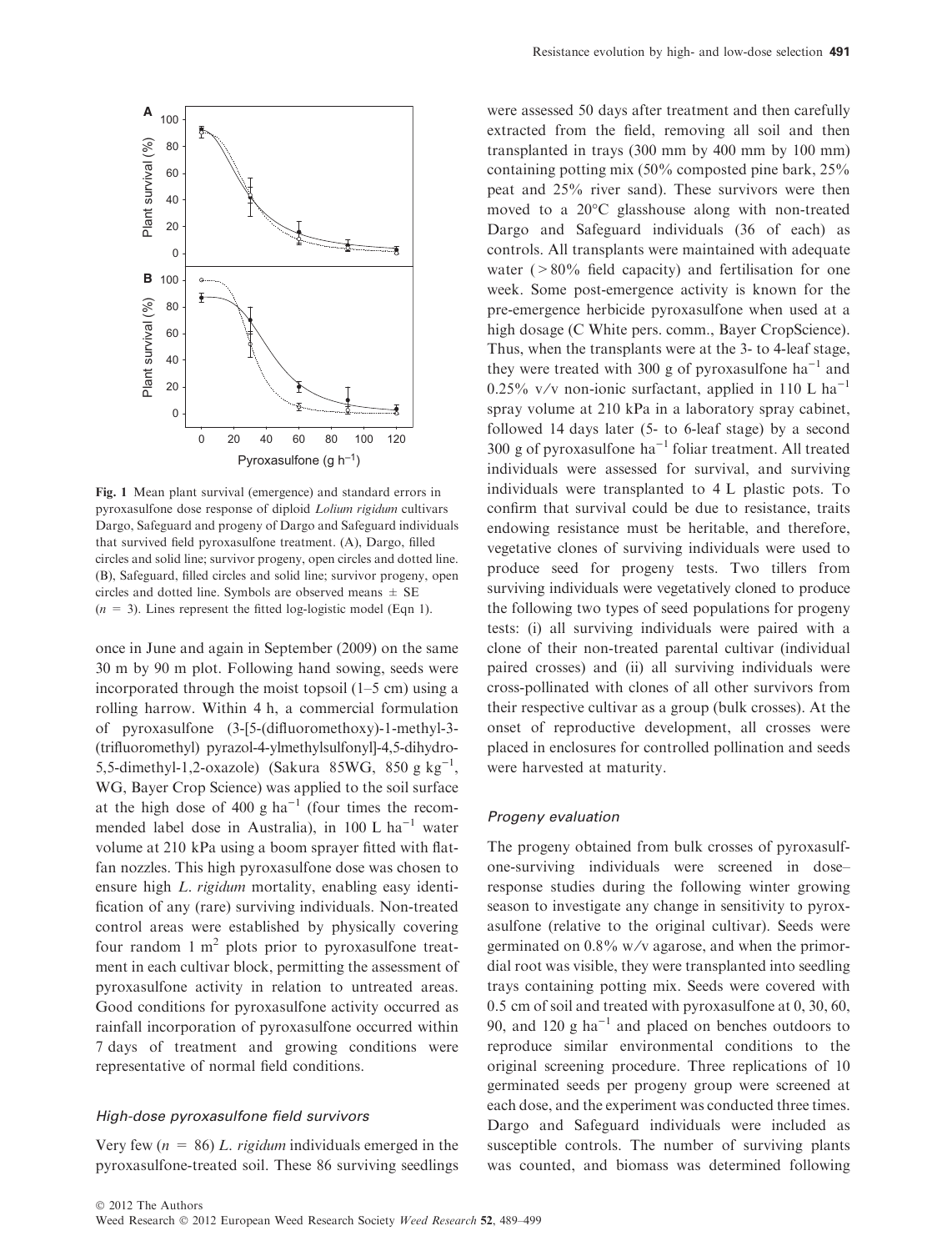

Fig. 1 Mean plant survival (emergence) and standard errors in pyroxasulfone dose response of diploid Lolium rigidum cultivars Dargo, Safeguard and progeny of Dargo and Safeguard individuals that survived field pyroxasulfone treatment. (A), Dargo, filled circles and solid line; survivor progeny, open circles and dotted line. (B), Safeguard, filled circles and solid line; survivor progeny, open circles and dotted line. Symbols are observed means  $\pm$  SE  $(n = 3)$ . Lines represent the fitted log-logistic model (Eqn 1).

once in June and again in September (2009) on the same 30 m by 90 m plot. Following hand sowing, seeds were incorporated through the moist topsoil (1–5 cm) using a rolling harrow. Within 4 h, a commercial formulation of pyroxasulfone (3-[5-(difluoromethoxy)-1-methyl-3- (trifluoromethyl) pyrazol-4-ylmethylsulfonyl]-4,5-dihydro-5,5-dimethyl-1,2-oxazole) (Sakura 85WG, 850 g kg<sup>-1</sup>, WG, Bayer Crop Science) was applied to the soil surface at the high dose of 400 g ha<sup>-1</sup> (four times the recommended label dose in Australia), in  $100$  L ha<sup>-1</sup> water volume at 210 kPa using a boom sprayer fitted with flatfan nozzles. This high pyroxasulfone dose was chosen to ensure high *L. rigidum* mortality, enabling easy identification of any (rare) surviving individuals. Non-treated control areas were established by physically covering four random  $1 \text{ m}^2$  plots prior to pyroxasulfone treatment in each cultivar block, permitting the assessment of pyroxasulfone activity in relation to untreated areas. Good conditions for pyroxasulfone activity occurred as rainfall incorporation of pyroxasulfone occurred within 7 days of treatment and growing conditions were representative of normal field conditions.

#### High-dose pyroxasulfone field survivors

Very few ( $n = 86$ ) L. rigidum individuals emerged in the pyroxasulfone-treated soil. These 86 surviving seedlings were assessed 50 days after treatment and then carefully extracted from the field, removing all soil and then transplanted in trays (300 mm by 400 mm by 100 mm) containing potting mix (50% composted pine bark, 25% peat and 25% river sand). These survivors were then moved to a  $20^{\circ}$ C glasshouse along with non-treated Dargo and Safeguard individuals (36 of each) as controls. All transplants were maintained with adequate water  $(280\%$  field capacity) and fertilisation for one week. Some post-emergence activity is known for the pre-emergence herbicide pyroxasulfone when used at a high dosage (C White pers. comm., Bayer CropScience). Thus, when the transplants were at the 3- to 4-leaf stage, they were treated with 300 g of pyroxasulfone  $ha^{-1}$  and 0.25% v/v non-ionic surfactant, applied in 110 L ha<sup>-1</sup> spray volume at 210 kPa in a laboratory spray cabinet, followed 14 days later (5- to 6-leaf stage) by a second 300 g of pyroxasulfone  $ha^{-1}$  foliar treatment. All treated individuals were assessed for survival, and surviving individuals were transplanted to 4 L plastic pots. To confirm that survival could be due to resistance, traits endowing resistance must be heritable, and therefore, vegetative clones of surviving individuals were used to produce seed for progeny tests. Two tillers from surviving individuals were vegetatively cloned to produce the following two types of seed populations for progeny tests: (i) all surviving individuals were paired with a clone of their non-treated parental cultivar (individual paired crosses) and (ii) all surviving individuals were cross-pollinated with clones of all other survivors from their respective cultivar as a group (bulk crosses). At the onset of reproductive development, all crosses were placed in enclosures for controlled pollination and seeds were harvested at maturity.

#### Progeny evaluation

The progeny obtained from bulk crosses of pyroxasulfone-surviving individuals were screened in dose– response studies during the following winter growing season to investigate any change in sensitivity to pyroxasulfone (relative to the original cultivar). Seeds were germinated on  $0.8\%$  w/v agarose, and when the primordial root was visible, they were transplanted into seedling trays containing potting mix. Seeds were covered with 0.5 cm of soil and treated with pyroxasulfone at 0, 30, 60, 90, and 120 g  $ha^{-1}$  and placed on benches outdoors to reproduce similar environmental conditions to the original screening procedure. Three replications of 10 germinated seeds per progeny group were screened at each dose, and the experiment was conducted three times. Dargo and Safeguard individuals were included as susceptible controls. The number of surviving plants was counted, and biomass was determined following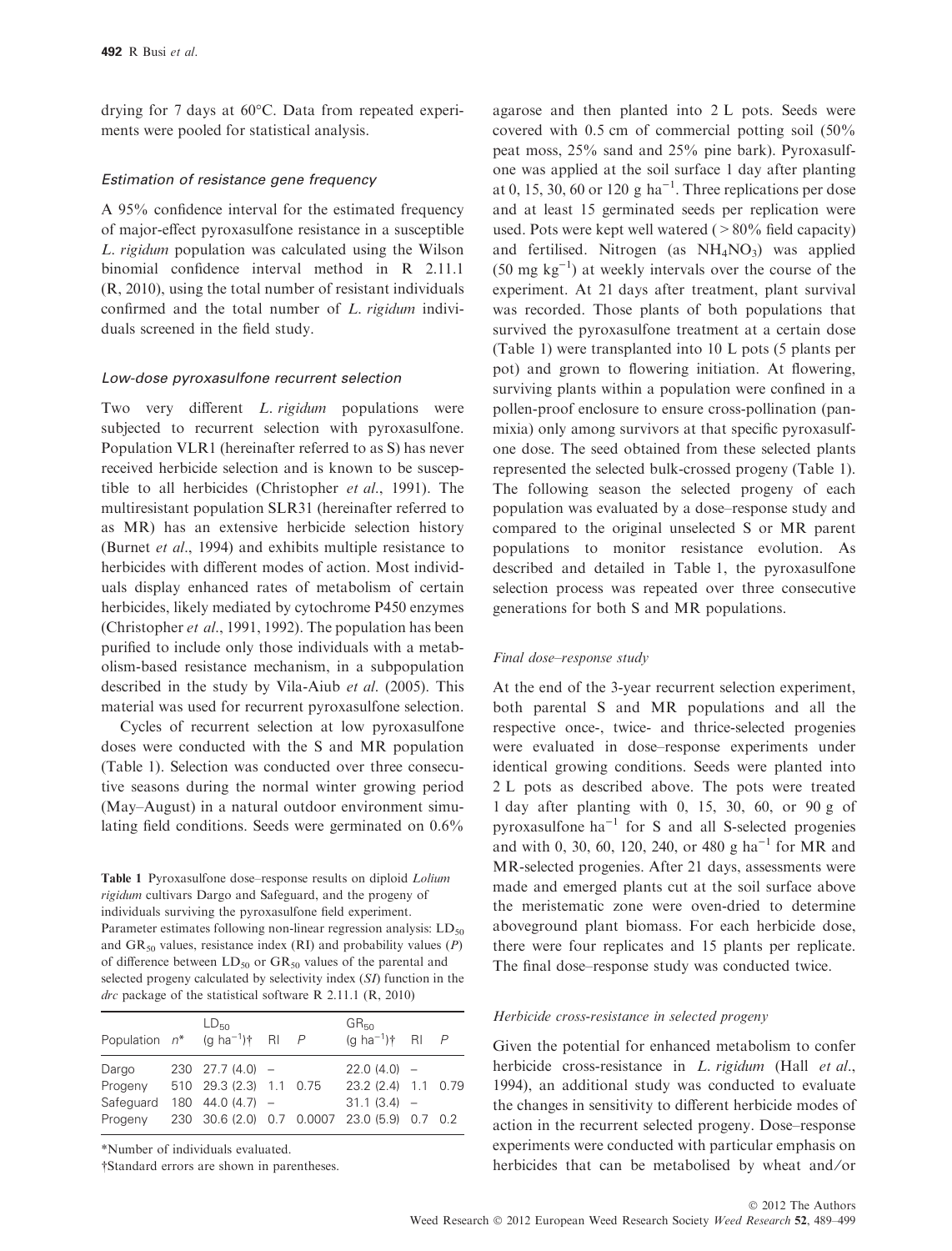drying for 7 days at  $60^{\circ}$ C. Data from repeated experiments were pooled for statistical analysis.

#### Estimation of resistance gene frequency

A 95% confidence interval for the estimated frequency of major-effect pyroxasulfone resistance in a susceptible L. rigidum population was calculated using the Wilson binomial confidence interval method in R 2.11.1 (R, 2010), using the total number of resistant individuals confirmed and the total number of L. rigidum individuals screened in the field study.

#### Low-dose pyroxasulfone recurrent selection

Two very different *L. rigidum* populations were subjected to recurrent selection with pyroxasulfone. Population VLR1 (hereinafter referred to as S) has never received herbicide selection and is known to be susceptible to all herbicides (Christopher et al., 1991). The multiresistant population SLR31 (hereinafter referred to as MR) has an extensive herbicide selection history (Burnet et al., 1994) and exhibits multiple resistance to herbicides with different modes of action. Most individuals display enhanced rates of metabolism of certain herbicides, likely mediated by cytochrome P450 enzymes (Christopher *et al.*, 1991, 1992). The population has been purified to include only those individuals with a metabolism-based resistance mechanism, in a subpopulation described in the study by Vila-Aiub et al. (2005). This material was used for recurrent pyroxasulfone selection.

Cycles of recurrent selection at low pyroxasulfone doses were conducted with the S and MR population (Table 1). Selection was conducted over three consecutive seasons during the normal winter growing period (May–August) in a natural outdoor environment simulating field conditions. Seeds were germinated on 0.6%

Table 1 Pyroxasulfone dose-response results on diploid Lolium rigidum cultivars Dargo and Safeguard, and the progeny of individuals surviving the pyroxasulfone field experiment. Parameter estimates following non-linear regression analysis:  $LD_{50}$ and  $GR_{50}$  values, resistance index (RI) and probability values (P) of difference between  $LD_{50}$  or  $GR_{50}$  values of the parental and selected progeny calculated by selectivity index (SI) function in the  $\frac{dr}{dt}$  package of the statistical software R 2.11.1 (R, 2010)

| Population $n^*$ (g ha <sup>-1</sup> ) <sup>†</sup> RI <i>P</i> | $LD_{50}$           |  | $GR_{50}$<br>(g ha <sup>-1</sup> ) <sup>†</sup> RI $P$ |  |
|-----------------------------------------------------------------|---------------------|--|--------------------------------------------------------|--|
| Dargo                                                           | $230$ $27.7(4.0)$ - |  | $22.0(4.0) -$                                          |  |
| Progeny 510 29.3 (2.3) 1.1 0.75                                 |                     |  | 23.2 (2.4) 1.1 0.79                                    |  |
| Safequard                                                       | $180$ 44.0 (4.7) -  |  | $31.1(3.4) -$                                          |  |
| Progeny 230 30.6 (2.0) 0.7 0.0007 23.0 (5.9) 0.7 0.2            |                     |  |                                                        |  |

\*Number of individuals evaluated.

-Standard errors are shown in parentheses.

agarose and then planted into 2 L pots. Seeds were covered with 0.5 cm of commercial potting soil (50% peat moss, 25% sand and 25% pine bark). Pyroxasulfone was applied at the soil surface 1 day after planting at 0, 15, 30, 60 or 120 g ha<sup>-1</sup>. Three replications per dose and at least 15 germinated seeds per replication were used. Pots were kept well watered  $(>80\%$  field capacity) and fertilised. Nitrogen (as  $NH<sub>4</sub>NO<sub>3</sub>$ ) was applied  $(50 \text{ mg kg}^{-1})$  at weekly intervals over the course of the experiment. At 21 days after treatment, plant survival was recorded. Those plants of both populations that survived the pyroxasulfone treatment at a certain dose (Table 1) were transplanted into 10 L pots (5 plants per pot) and grown to flowering initiation. At flowering, surviving plants within a population were confined in a pollen-proof enclosure to ensure cross-pollination (panmixia) only among survivors at that specific pyroxasulfone dose. The seed obtained from these selected plants represented the selected bulk-crossed progeny (Table 1). The following season the selected progeny of each population was evaluated by a dose–response study and compared to the original unselected S or MR parent populations to monitor resistance evolution. As described and detailed in Table 1, the pyroxasulfone selection process was repeated over three consecutive generations for both S and MR populations.

#### Final dose–response study

At the end of the 3-year recurrent selection experiment, both parental S and MR populations and all the respective once-, twice- and thrice-selected progenies were evaluated in dose–response experiments under identical growing conditions. Seeds were planted into 2 L pots as described above. The pots were treated 1 day after planting with 0, 15, 30, 60, or 90 g of pyroxasulfone  $ha^{-1}$  for S and all S-selected progenies and with 0, 30, 60, 120, 240, or 480 g ha<sup>-1</sup> for MR and MR-selected progenies. After 21 days, assessments were made and emerged plants cut at the soil surface above the meristematic zone were oven-dried to determine aboveground plant biomass. For each herbicide dose, there were four replicates and 15 plants per replicate. The final dose–response study was conducted twice.

#### Herbicide cross-resistance in selected progeny

Given the potential for enhanced metabolism to confer herbicide cross-resistance in *L. rigidum* (Hall et al., 1994), an additional study was conducted to evaluate the changes in sensitivity to different herbicide modes of action in the recurrent selected progeny. Dose–response experiments were conducted with particular emphasis on herbicides that can be metabolised by wheat and/or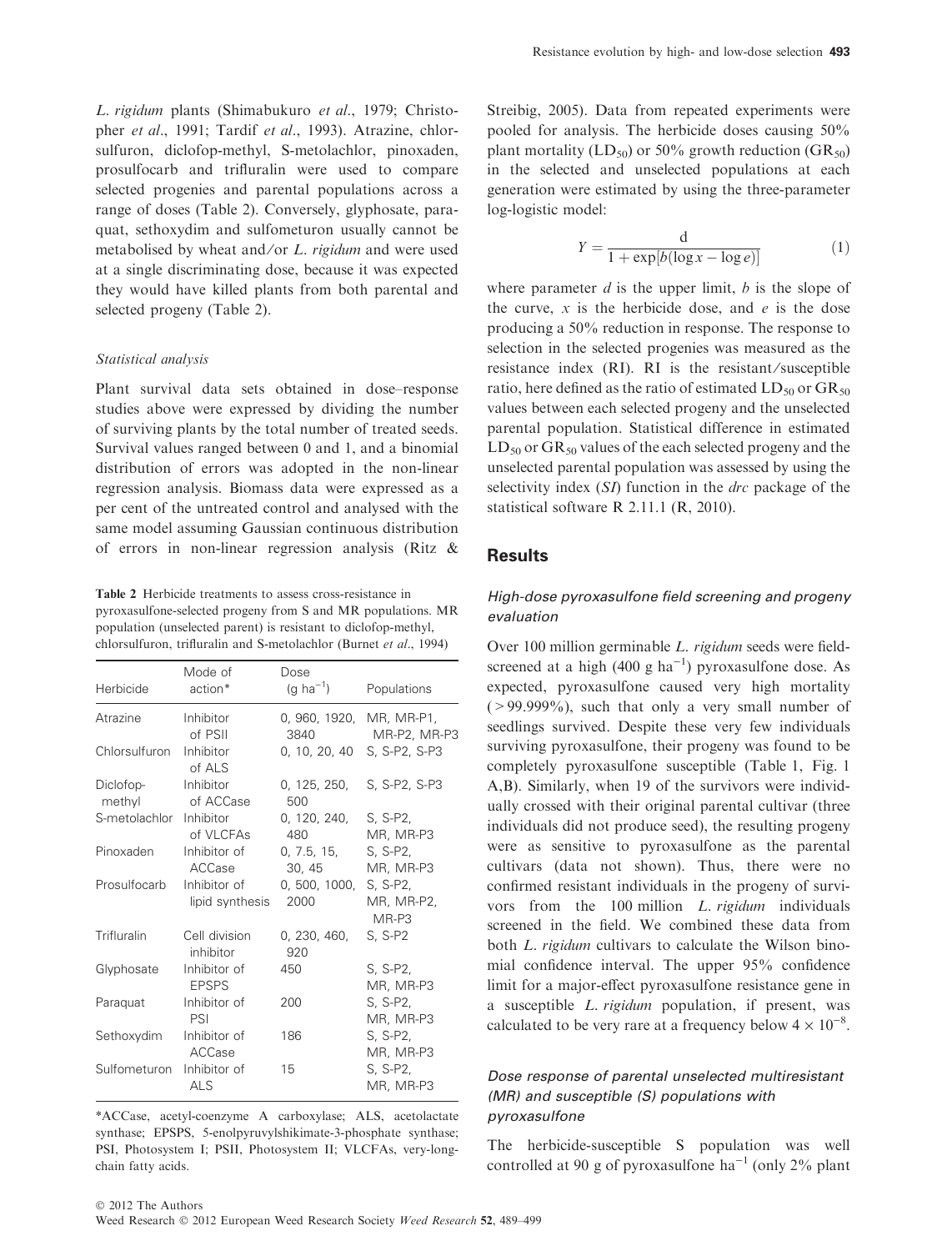L. rigidum plants (Shimabukuro et al., 1979; Christopher et al., 1991; Tardif et al., 1993). Atrazine, chlorsulfuron, diclofop-methyl, S-metolachlor, pinoxaden, prosulfocarb and trifluralin were used to compare selected progenies and parental populations across a range of doses (Table 2). Conversely, glyphosate, paraquat, sethoxydim and sulfometuron usually cannot be metabolised by wheat and/or *L. rigidum* and were used at a single discriminating dose, because it was expected they would have killed plants from both parental and selected progeny (Table 2).

#### Statistical analysis

Plant survival data sets obtained in dose–response studies above were expressed by dividing the number of surviving plants by the total number of treated seeds. Survival values ranged between 0 and 1, and a binomial distribution of errors was adopted in the non-linear regression analysis. Biomass data were expressed as a per cent of the untreated control and analysed with the same model assuming Gaussian continuous distribution of errors in non-linear regression analysis (Ritz &

Table 2 Herbicide treatments to assess cross-resistance in pyroxasulfone-selected progeny from S and MR populations. MR population (unselected parent) is resistant to diclofop-methyl, chlorsulfuron, trifluralin and S-metolachlor (Burnet et al., 1994)

| Herbicide               | Mode of<br>action*              | Dose<br>$(g \ ha^{-1})$ | Populations                       |
|-------------------------|---------------------------------|-------------------------|-----------------------------------|
|                         |                                 |                         |                                   |
| Atrazine                | Inhibitor<br>of PSII            | 0, 960, 1920,<br>3840   | MR, MR-P1,<br>MR-P2, MR-P3        |
| Chlorsulfuron           | Inhibitor<br>of ALS             | 0, 10, 20, 40           | S, S-P2, S-P3                     |
| Diclofop-<br>methyl     | Inhibitor<br>of ACCase          | 0, 125, 250,<br>500     | S, S-P2, S-P3                     |
| S-metolachlor Inhibitor | of VLCFAs                       | 0, 120, 240,<br>480     | S, S-P2,<br>MR, MR-P3             |
| Pinoxaden               | Inhibitor of<br>ACCase          | 0, 7.5, 15,<br>30, 45   | S. S-P2,<br>MR, MR-P3             |
| Prosulfocarb            | Inhibitor of<br>lipid synthesis | 0, 500, 1000,<br>2000   | S, S-P2,<br>MR, MR-P2,<br>$MR-P3$ |
| Trifluralin             | Cell division<br>inhibitor      | 0, 230, 460,<br>920     | S, S-P2                           |
| Glyphosate              | Inhibitor of<br><b>EPSPS</b>    | 450                     | S, S-P2,<br>MR, MR-P3             |
| Paraquat                | Inhibitor of<br>PSI             | 200                     | S, S-P2,<br>MR, MR-P3             |
| Sethoxydim              | Inhibitor of<br>ACCase          | 186                     | S, S-P2,<br>MR, MR-P3             |
| Sulfometuron            | Inhibitor of<br><b>ALS</b>      | 15                      | S, S-P2,<br>MR, MR-P3             |

\*ACCase, acetyl-coenzyme A carboxylase; ALS, acetolactate synthase; EPSPS, 5-enolpyruvylshikimate-3-phosphate synthase; PSI, Photosystem I; PSII, Photosystem II; VLCFAs, very-longchain fatty acids.

Streibig, 2005). Data from repeated experiments were pooled for analysis. The herbicide doses causing 50% plant mortality (LD<sub>50</sub>) or 50% growth reduction (GR<sub>50</sub>) in the selected and unselected populations at each generation were estimated by using the three-parameter log-logistic model:

$$
Y = \frac{d}{1 + \exp[b(\log x - \log e)]}
$$
 (1)

where parameter  $d$  is the upper limit,  $b$  is the slope of the curve,  $x$  is the herbicide dose, and  $e$  is the dose producing a 50% reduction in response. The response to selection in the selected progenies was measured as the resistance index (RI). RI is the resistant/susceptible ratio, here defined as the ratio of estimated  $LD_{50}$  or  $GR_{50}$ values between each selected progeny and the unselected parental population. Statistical difference in estimated  $LD_{50}$  or  $GR_{50}$  values of the each selected progeny and the unselected parental population was assessed by using the selectivity index  $(SI)$  function in the *drc* package of the statistical software R 2.11.1 (R, 2010).

## Results

## High-dose pyroxasulfone field screening and progeny evaluation

Over 100 million germinable L. rigidum seeds were fieldscreened at a high  $(400 \text{ g ha}^{-1})$  pyroxasulfone dose. As expected, pyroxasulfone caused very high mortality  $(>99.999\%)$ , such that only a very small number of seedlings survived. Despite these very few individuals surviving pyroxasulfone, their progeny was found to be completely pyroxasulfone susceptible (Table 1, Fig. 1 A,B). Similarly, when 19 of the survivors were individually crossed with their original parental cultivar (three individuals did not produce seed), the resulting progeny were as sensitive to pyroxasulfone as the parental cultivars (data not shown). Thus, there were no confirmed resistant individuals in the progeny of survivors from the 100 million L. rigidum individuals screened in the field. We combined these data from both L. rigidum cultivars to calculate the Wilson binomial confidence interval. The upper 95% confidence limit for a major-effect pyroxasulfone resistance gene in a susceptible L. rigidum population, if present, was calculated to be very rare at a frequency below  $4 \times 10^{-8}$ .

## Dose response of parental unselected multiresistant (MR) and susceptible (S) populations with pyroxasulfone

The herbicide-susceptible S population was well controlled at 90 g of pyroxasulfone ha<sup>-1</sup> (only 2% plant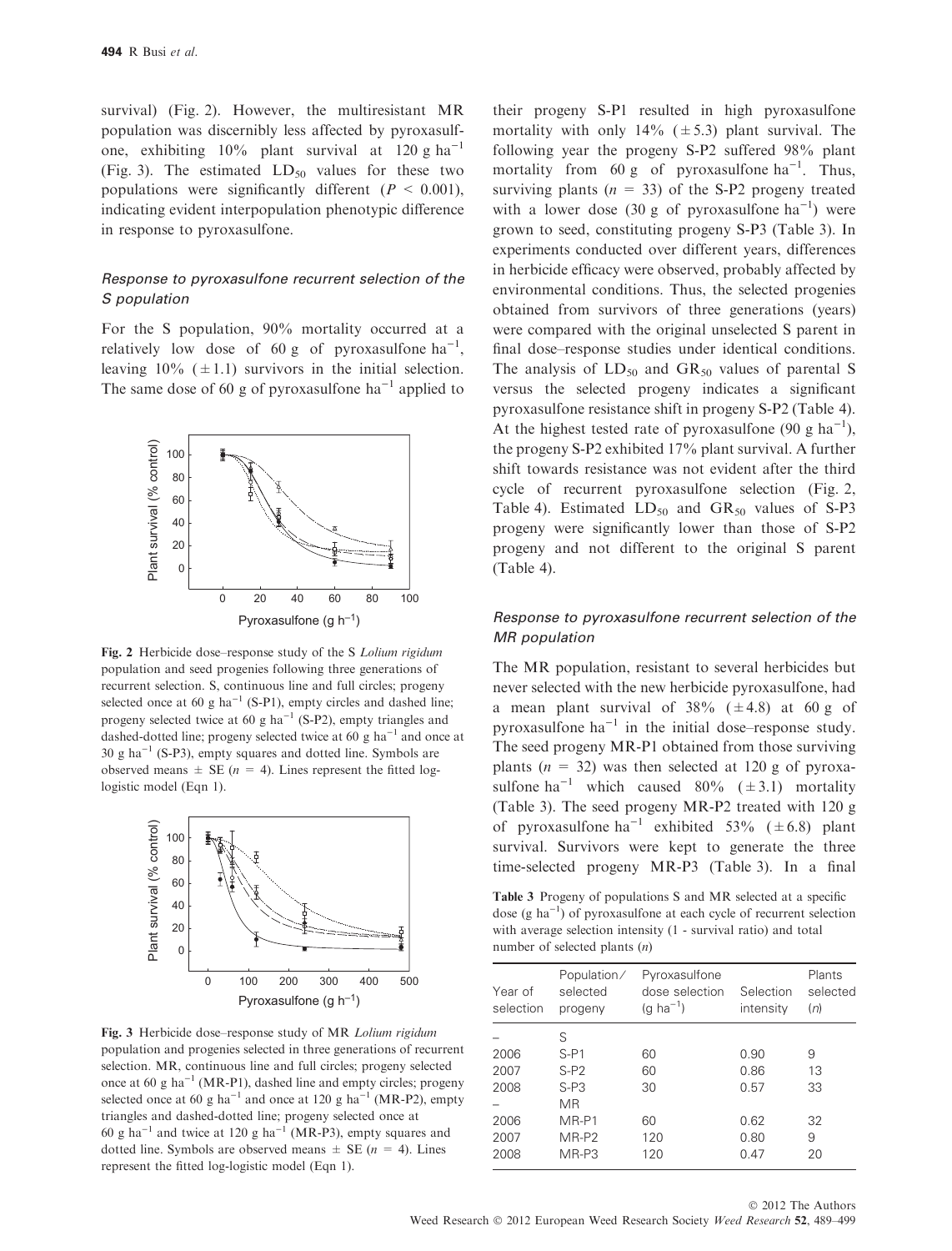survival) (Fig. 2). However, the multiresistant MR population was discernibly less affected by pyroxasulfone, exhibiting  $10\%$  plant survival at 120 g ha<sup>-1</sup> (Fig. 3). The estimated  $LD_{50}$  values for these two populations were significantly different ( $P < 0.001$ ), indicating evident interpopulation phenotypic difference in response to pyroxasulfone.

## Response to pyroxasulfone recurrent selection of the S population

For the S population, 90% mortality occurred at a relatively low dose of 60 g of pyroxasulfone  $ha^{-1}$ , leaving  $10\%$  ( $\pm$ 1.1) survivors in the initial selection. The same dose of 60 g of pyroxasulfone  $ha^{-1}$  applied to



Fig. 2 Herbicide dose-response study of the S Lolium rigidum population and seed progenies following three generations of recurrent selection. S, continuous line and full circles; progeny selected once at 60 g ha<sup>-1</sup> (S-P1), empty circles and dashed line; progeny selected twice at 60 g ha<sup>-1</sup> (S-P2), empty triangles and dashed-dotted line; progeny selected twice at 60 g ha<sup>-1</sup> and once at  $30 \text{ g ha}^{-1}$  (S-P3), empty squares and dotted line. Symbols are observed means  $\pm$  SE (*n* = 4). Lines represent the fitted loglogistic model (Eqn 1).



Fig. 3 Herbicide dose–response study of MR Lolium rigidum population and progenies selected in three generations of recurrent selection. MR, continuous line and full circles; progeny selected once at 60 g ha<sup>-1</sup> (MR-P1), dashed line and empty circles; progeny selected once at 60 g ha<sup>-1</sup> and once at 120 g ha<sup>-1</sup> (MR-P2), empty triangles and dashed-dotted line; progeny selected once at 60 g ha<sup>-1</sup> and twice at 120 g ha<sup>-1</sup> (MR-P3), empty squares and dotted line. Symbols are observed means  $\pm$  SE ( $n = 4$ ). Lines represent the fitted log-logistic model (Eqn 1).

their progeny S-P1 resulted in high pyroxasulfone mortality with only  $14\%$  ( $\pm$  5.3) plant survival. The following year the progeny S-P2 suffered 98% plant mortality from 60 g of pyroxasulfone  $ha^{-1}$ . Thus, surviving plants ( $n = 33$ ) of the S-P2 progeny treated with a lower dose (30 g of pyroxasulfone  $ha^{-1}$ ) were grown to seed, constituting progeny S-P3 (Table 3). In experiments conducted over different years, differences in herbicide efficacy were observed, probably affected by environmental conditions. Thus, the selected progenies obtained from survivors of three generations (years) were compared with the original unselected S parent in final dose–response studies under identical conditions. The analysis of  $LD_{50}$  and  $GR_{50}$  values of parental S versus the selected progeny indicates a significant pyroxasulfone resistance shift in progeny S-P2 (Table 4). At the highest tested rate of pyroxasulfone (90 g ha<sup>-1</sup>), the progeny S-P2 exhibited 17% plant survival. A further shift towards resistance was not evident after the third cycle of recurrent pyroxasulfone selection (Fig. 2, Table 4). Estimated  $LD_{50}$  and  $GR_{50}$  values of S-P3 progeny were significantly lower than those of S-P2 progeny and not different to the original S parent (Table 4).

#### Response to pyroxasulfone recurrent selection of the MR population

The MR population, resistant to several herbicides but never selected with the new herbicide pyroxasulfone, had a mean plant survival of  $38\%$  ( $\pm$ 4.8) at 60 g of pyroxasulfone  $ha^{-1}$  in the initial dose–response study. The seed progeny MR-P1 obtained from those surviving plants ( $n = 32$ ) was then selected at 120 g of pyroxasulfone ha<sup>-1</sup> which caused 80% ( $\pm$ 3.1) mortality (Table 3). The seed progeny MR-P2 treated with 120 g of pyroxasulfone ha<sup>-1</sup> exhibited 53% ( $\pm$ 6.8) plant survival. Survivors were kept to generate the three time-selected progeny MR-P3 (Table 3). In a final

Table 3 Progeny of populations S and MR selected at a specific dose  $(g \ ha^{-1})$  of pyroxasulfone at each cycle of recurrent selection with average selection intensity (1 - survival ratio) and total number of selected plants (n)

|                      | Population/         |                                                          |                        |                           |
|----------------------|---------------------|----------------------------------------------------------|------------------------|---------------------------|
| Year of<br>selection | selected<br>progeny | Pyroxasulfone<br>dose selection<br>$(q \text{ ha}^{-1})$ | Selection<br>intensity | Plants<br>selected<br>(n) |
|                      | S                   |                                                          |                        |                           |
| 2006                 | $S-P1$              | 60                                                       | 0.90                   | 9                         |
| 2007                 | $S-P2$              | 60                                                       | 0.86                   | 13                        |
| 2008                 | $S-PS$              | 30                                                       | 0.57                   | 33                        |
|                      | МR                  |                                                          |                        |                           |
| 2006                 | MR-P1               | 60                                                       | 0.62                   | 32                        |
| 2007                 | MR-P2               | 120                                                      | 0.80                   | 9                         |
| 2008                 | MR-P3               | 120                                                      | 0.47                   | 20                        |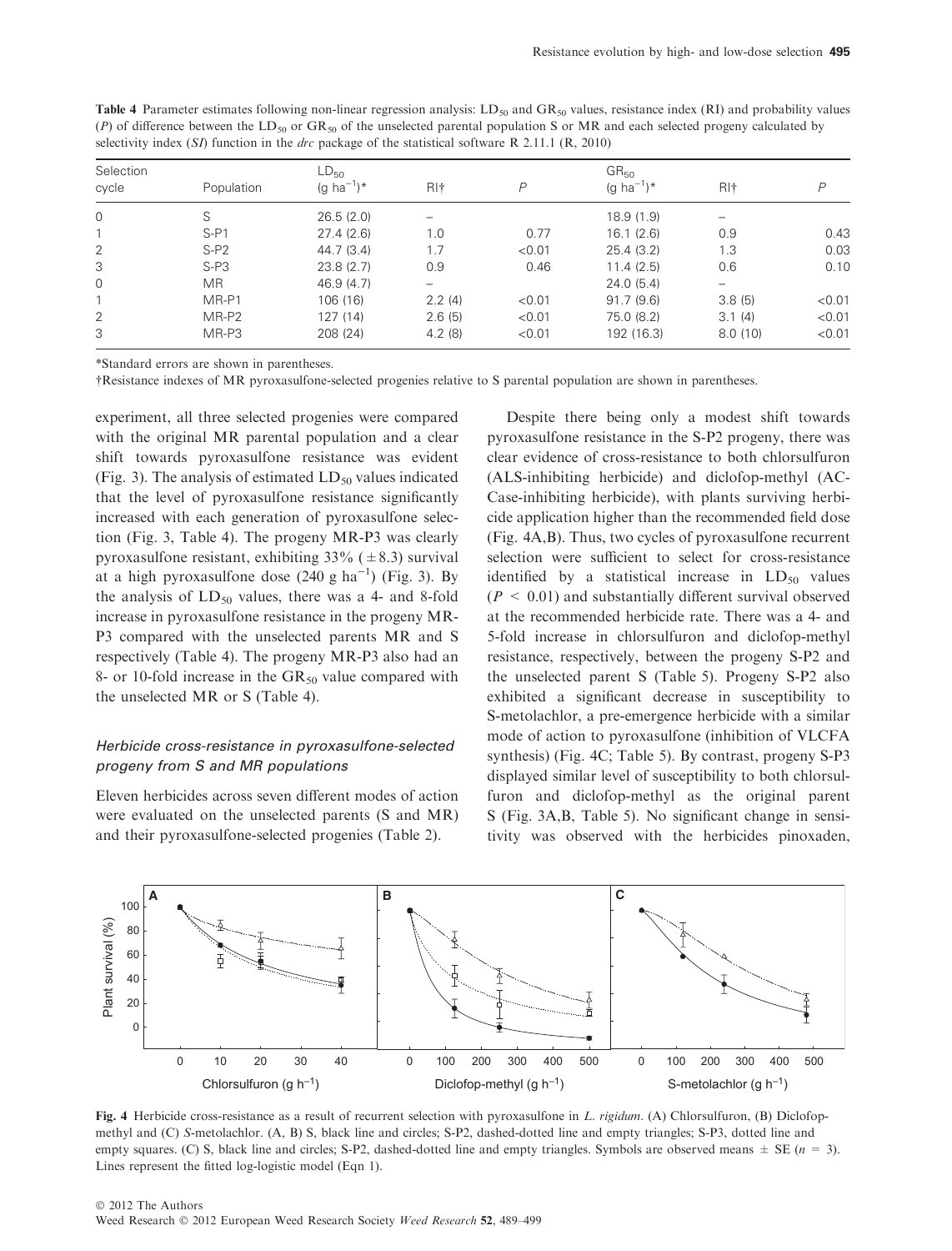| Selection |            | $LD_{50}$              |                 |        | GR <sub>50</sub>       |                 |        |
|-----------|------------|------------------------|-----------------|--------|------------------------|-----------------|--------|
| cycle     | Population | (g ha <sup>-1</sup> )* | RI <sup>+</sup> | P      | (g ha <sup>-1</sup> )* | RI <sup>+</sup> |        |
| $\Omega$  |            | 26.5(2.0)              |                 |        | 18.9(1.9)              |                 |        |
|           | $S-PI$     | 27.4(2.6)              | 1.0             | 0.77   | 16.1(2.6)              | 0.9             | 0.43   |
| 2         | $S-P2$     | 44.7(3.4)              | 1.7             | < 0.01 | 25.4(3.2)              | 1.3             | 0.03   |
| 3         | $S-PS$     | 23.8(2.7)              | 0.9             | 0.46   | 11.4(2.5)              | 0.6             | 0.10   |
| 0         | MR.        | 46.9(4.7)              |                 |        | 24.0(5.4)              |                 |        |
|           | MR-P1      | 106 (16)               | 2.2(4)          | < 0.01 | 91.7(9.6)              | 3.8(5)          | < 0.01 |
| 2         | MR-P2      | 127(14)                | 2.6(5)          | < 0.01 | 75.0 (8.2)             | 3.1(4)          | < 0.01 |
| 3         | MR-P3      | 208 (24)               | 4.2(8)          | < 0.01 | 192 (16.3)             | 8.0(10)         | < 0.01 |

Table 4 Parameter estimates following non-linear regression analysis:  $LD_{50}$  and  $GR_{50}$  values, resistance index (RI) and probability values (P) of difference between the LD<sub>50</sub> or GR<sub>50</sub> of the unselected parental population S or MR and each selected progeny calculated by selectivity index (SD function in the *due* package of the statistical seftuare B 2.11.1 selectivity index (SI) function in the *drc* package of the statistical software R 2.11.1 (R, 2010)

\*Standard errors are shown in parentheses.

-Resistance indexes of MR pyroxasulfone-selected progenies relative to S parental population are shown in parentheses.

experiment, all three selected progenies were compared with the original MR parental population and a clear shift towards pyroxasulfone resistance was evident (Fig. 3). The analysis of estimated  $LD_{50}$  values indicated that the level of pyroxasulfone resistance significantly increased with each generation of pyroxasulfone selection (Fig. 3, Table 4). The progeny MR-P3 was clearly pyroxasulfone resistant, exhibiting  $33\%$  ( $\pm 8.3$ ) survival at a high pyroxasulfone dose  $(240 g ha^{-1})$  (Fig. 3). By the analysis of  $LD_{50}$  values, there was a 4- and 8-fold increase in pyroxasulfone resistance in the progeny MR-P3 compared with the unselected parents MR and S respectively (Table 4). The progeny MR-P3 also had an 8- or 10-fold increase in the  $GR_{50}$  value compared with the unselected MR or S (Table 4).

## Herbicide cross-resistance in pyroxasulfone-selected progeny from S and MR populations

Eleven herbicides across seven different modes of action were evaluated on the unselected parents (S and MR) and their pyroxasulfone-selected progenies (Table 2).

Despite there being only a modest shift towards pyroxasulfone resistance in the S-P2 progeny, there was clear evidence of cross-resistance to both chlorsulfuron (ALS-inhibiting herbicide) and diclofop-methyl (AC-Case-inhibiting herbicide), with plants surviving herbicide application higher than the recommended field dose (Fig. 4A,B). Thus, two cycles of pyroxasulfone recurrent selection were sufficient to select for cross-resistance identified by a statistical increase in  $LD_{50}$  values  $(P < 0.01)$  and substantially different survival observed at the recommended herbicide rate. There was a 4- and 5-fold increase in chlorsulfuron and diclofop-methyl resistance, respectively, between the progeny S-P2 and the unselected parent S (Table 5). Progeny S-P2 also exhibited a significant decrease in susceptibility to S-metolachlor, a pre-emergence herbicide with a similar mode of action to pyroxasulfone (inhibition of VLCFA synthesis) (Fig. 4C; Table 5). By contrast, progeny S-P3 displayed similar level of susceptibility to both chlorsulfuron and diclofop-methyl as the original parent S (Fig. 3A,B, Table 5). No significant change in sensitivity was observed with the herbicides pinoxaden,



Fig. 4 Herbicide cross-resistance as a result of recurrent selection with pyroxasulfone in L. rigidum. (A) Chlorsulfuron, (B) Diclofopmethyl and (C) S-metolachlor. (A, B) S, black line and circles; S-P2, dashed-dotted line and empty triangles; S-P3, dotted line and empty squares. (C) S, black line and circles; S-P2, dashed-dotted line and empty triangles. Symbols are observed means  $\pm$  SE (n = 3). Lines represent the fitted log-logistic model (Eqn 1).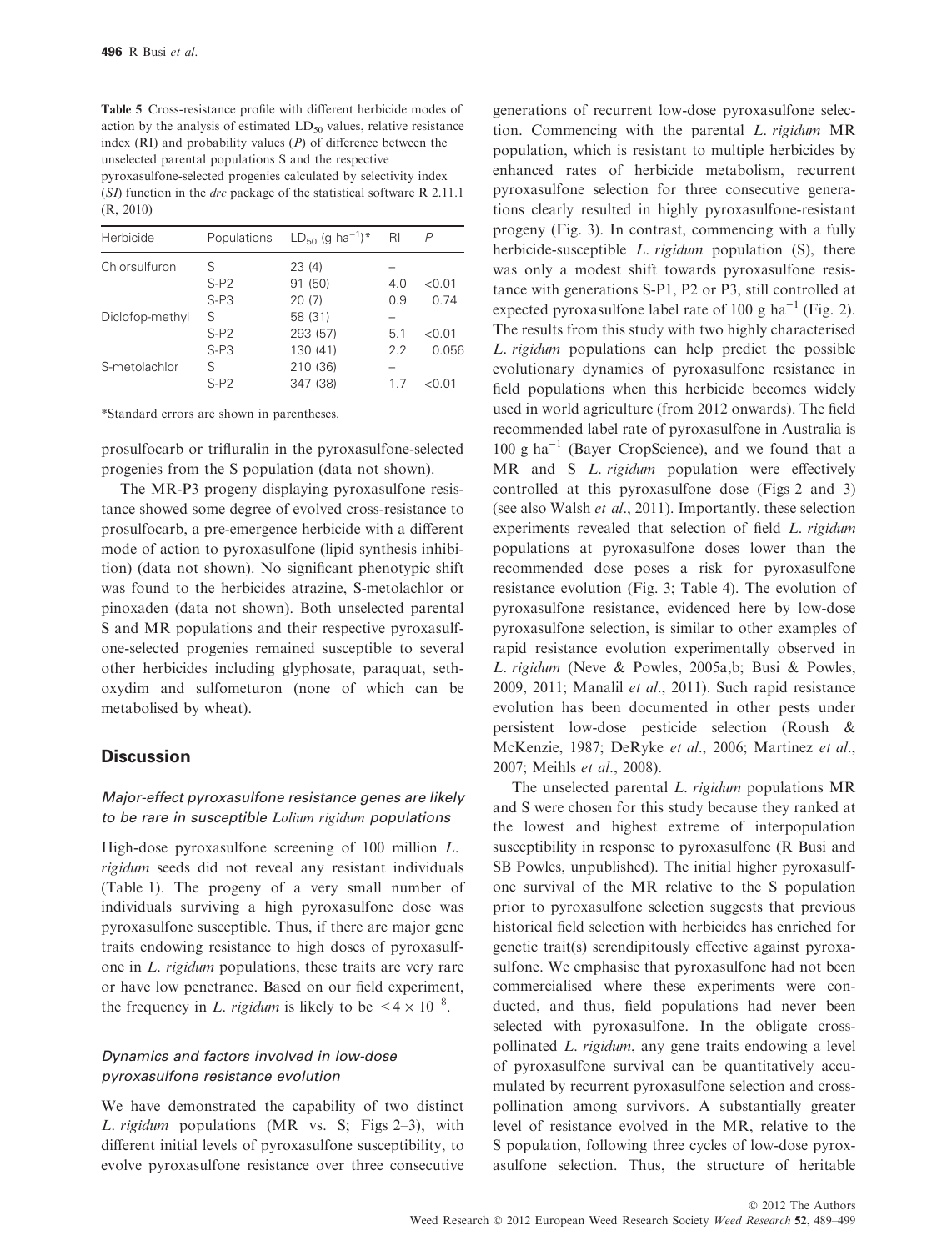Table 5 Cross-resistance profile with different herbicide modes of action by the analysis of estimated  $LD_{50}$  values, relative resistance index  $(RI)$  and probability values  $(P)$  of difference between the unselected parental populations S and the respective pyroxasulfone-selected progenies calculated by selectivity index (SI) function in the drc package of the statistical software R 2.11.1 (R, 2010)

| Herbicide       | Populations | $LD_{50}$ (g ha <sup>-1</sup> )* | RI  |         |
|-----------------|-------------|----------------------------------|-----|---------|
| Chlorsulfuron   | S           | 23(4)                            |     |         |
|                 | $S-P2$      | 91 (50)                          | 4.0 | < 0.01  |
|                 | $S-PS$      | 20(7)                            | 0.9 | 0.74    |
| Diclofop-methyl | S           | 58 (31)                          |     |         |
|                 | $S-P2$      | 293 (57)                         | 5.1 | < 0.01  |
|                 | $S-PS$      | 130 (41)                         | 2.2 | 0.056   |
| S-metolachlor   | S           | 210 (36)                         |     |         |
|                 | $S- P2$     | 347 (38)                         | 17  | 01 () < |
|                 |             |                                  |     |         |

\*Standard errors are shown in parentheses.

prosulfocarb or trifluralin in the pyroxasulfone-selected progenies from the S population (data not shown).

The MR-P3 progeny displaying pyroxasulfone resistance showed some degree of evolved cross-resistance to prosulfocarb, a pre-emergence herbicide with a different mode of action to pyroxasulfone (lipid synthesis inhibition) (data not shown). No significant phenotypic shift was found to the herbicides atrazine, S-metolachlor or pinoxaden (data not shown). Both unselected parental S and MR populations and their respective pyroxasulfone-selected progenies remained susceptible to several other herbicides including glyphosate, paraquat, sethoxydim and sulfometuron (none of which can be metabolised by wheat).

#### **Discussion**

### Major-effect pyroxasulfone resistance genes are likely to be rare in susceptible Lolium rigidum populations

High-dose pyroxasulfone screening of 100 million L. rigidum seeds did not reveal any resistant individuals (Table 1). The progeny of a very small number of individuals surviving a high pyroxasulfone dose was pyroxasulfone susceptible. Thus, if there are major gene traits endowing resistance to high doses of pyroxasulfone in L. rigidum populations, these traits are very rare or have low penetrance. Based on our field experiment, the frequency in L. rigidum is likely to be  $\leq 4 \times 10^{-8}$ .

#### Dynamics and factors involved in low-dose pyroxasulfone resistance evolution

We have demonstrated the capability of two distinct L. rigidum populations (MR vs. S; Figs 2-3), with different initial levels of pyroxasulfone susceptibility, to evolve pyroxasulfone resistance over three consecutive generations of recurrent low-dose pyroxasulfone selection. Commencing with the parental L. rigidum MR population, which is resistant to multiple herbicides by enhanced rates of herbicide metabolism, recurrent pyroxasulfone selection for three consecutive generations clearly resulted in highly pyroxasulfone-resistant progeny (Fig. 3). In contrast, commencing with a fully herbicide-susceptible *L. rigidum* population (S), there was only a modest shift towards pyroxasulfone resistance with generations S-P1, P2 or P3, still controlled at expected pyroxasulfone label rate of 100 g ha<sup>-1</sup> (Fig. 2). The results from this study with two highly characterised L. rigidum populations can help predict the possible evolutionary dynamics of pyroxasulfone resistance in field populations when this herbicide becomes widely used in world agriculture (from 2012 onwards). The field recommended label rate of pyroxasulfone in Australia is  $100 \text{ g ha}^{-1}$  (Bayer CropScience), and we found that a MR and S *L. rigidum* population were effectively controlled at this pyroxasulfone dose (Figs 2 and 3) (see also Walsh et al., 2011). Importantly, these selection experiments revealed that selection of field L. rigidum populations at pyroxasulfone doses lower than the recommended dose poses a risk for pyroxasulfone resistance evolution (Fig. 3; Table 4). The evolution of pyroxasulfone resistance, evidenced here by low-dose pyroxasulfone selection, is similar to other examples of rapid resistance evolution experimentally observed in L. rigidum (Neve & Powles, 2005a,b; Busi & Powles, 2009, 2011; Manalil et al., 2011). Such rapid resistance evolution has been documented in other pests under persistent low-dose pesticide selection (Roush & McKenzie, 1987; DeRyke et al., 2006; Martinez et al., 2007; Meihls et al., 2008).

The unselected parental L. rigidum populations MR and S were chosen for this study because they ranked at the lowest and highest extreme of interpopulation susceptibility in response to pyroxasulfone (R Busi and SB Powles, unpublished). The initial higher pyroxasulfone survival of the MR relative to the S population prior to pyroxasulfone selection suggests that previous historical field selection with herbicides has enriched for genetic trait(s) serendipitously effective against pyroxasulfone. We emphasise that pyroxasulfone had not been commercialised where these experiments were conducted, and thus, field populations had never been selected with pyroxasulfone. In the obligate crosspollinated L. rigidum, any gene traits endowing a level of pyroxasulfone survival can be quantitatively accumulated by recurrent pyroxasulfone selection and crosspollination among survivors. A substantially greater level of resistance evolved in the MR, relative to the S population, following three cycles of low-dose pyroxasulfone selection. Thus, the structure of heritable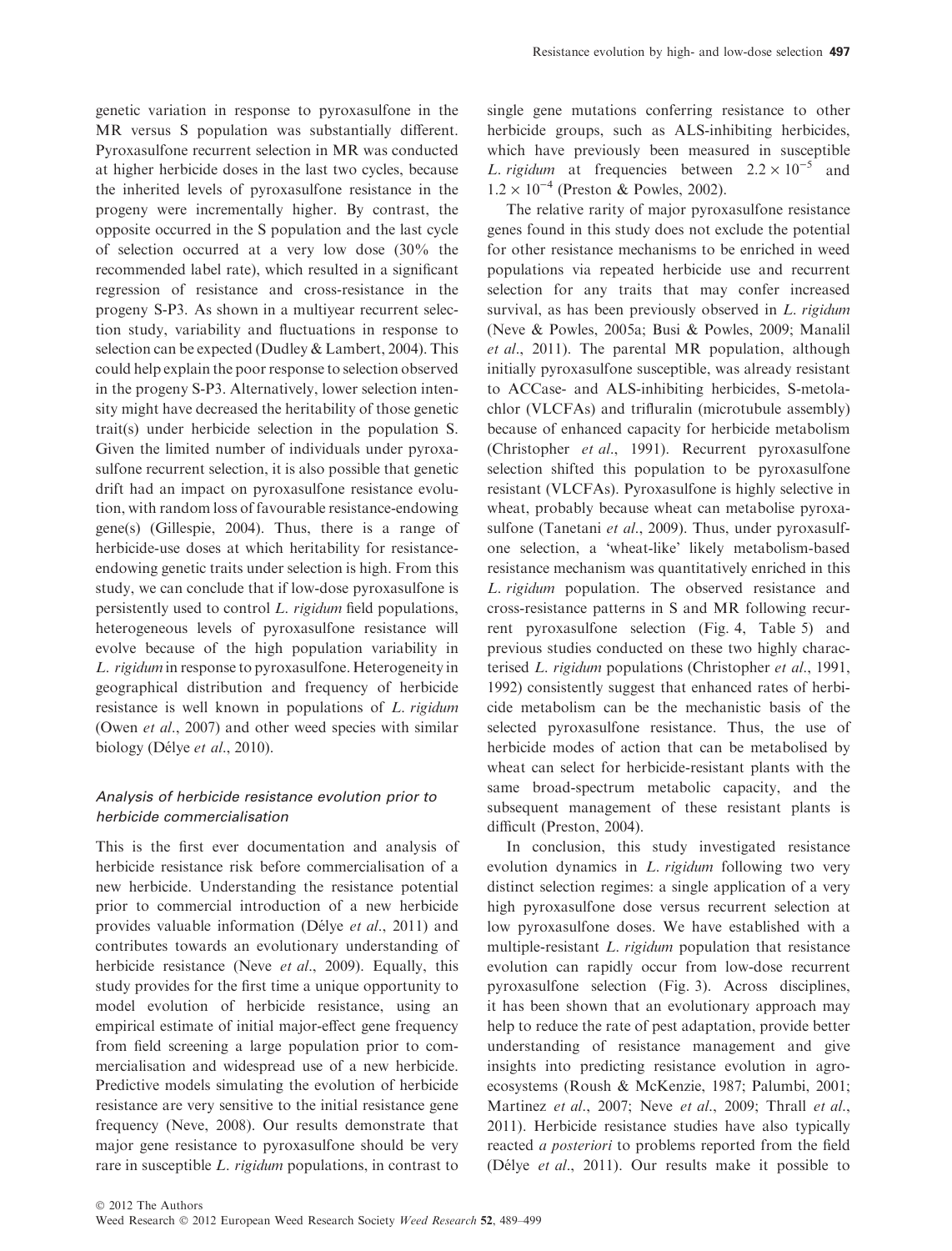genetic variation in response to pyroxasulfone in the MR versus S population was substantially different. Pyroxasulfone recurrent selection in MR was conducted at higher herbicide doses in the last two cycles, because the inherited levels of pyroxasulfone resistance in the progeny were incrementally higher. By contrast, the opposite occurred in the S population and the last cycle of selection occurred at a very low dose (30% the recommended label rate), which resulted in a significant regression of resistance and cross-resistance in the progeny S-P3. As shown in a multiyear recurrent selection study, variability and fluctuations in response to selection can be expected (Dudley & Lambert, 2004). This could help explain the poor response to selection observed in the progeny S-P3. Alternatively, lower selection intensity might have decreased the heritability of those genetic trait(s) under herbicide selection in the population S. Given the limited number of individuals under pyroxasulfone recurrent selection, it is also possible that genetic drift had an impact on pyroxasulfone resistance evolution, with random loss of favourable resistance-endowing gene(s) (Gillespie, 2004). Thus, there is a range of herbicide-use doses at which heritability for resistanceendowing genetic traits under selection is high. From this study, we can conclude that if low-dose pyroxasulfone is persistently used to control L. rigidum field populations, heterogeneous levels of pyroxasulfone resistance will evolve because of the high population variability in L. rigidum in response to pyroxasulfone. Heterogeneity in geographical distribution and frequency of herbicide resistance is well known in populations of L. rigidum (Owen *et al.*, 2007) and other weed species with similar biology (Délye et al., 2010).

## Analysis of herbicide resistance evolution prior to herbicide commercialisation

This is the first ever documentation and analysis of herbicide resistance risk before commercialisation of a new herbicide. Understanding the resistance potential prior to commercial introduction of a new herbicide provides valuable information (Délye et al., 2011) and contributes towards an evolutionary understanding of herbicide resistance (Neve et al., 2009). Equally, this study provides for the first time a unique opportunity to model evolution of herbicide resistance, using an empirical estimate of initial major-effect gene frequency from field screening a large population prior to commercialisation and widespread use of a new herbicide. Predictive models simulating the evolution of herbicide resistance are very sensitive to the initial resistance gene frequency (Neve, 2008). Our results demonstrate that major gene resistance to pyroxasulfone should be very rare in susceptible L. rigidum populations, in contrast to

single gene mutations conferring resistance to other herbicide groups, such as ALS-inhibiting herbicides, which have previously been measured in susceptible L. rigidum at frequencies between  $2.2 \times 10^{-5}$  and  $1.2 \times 10^{-4}$  (Preston & Powles, 2002).

The relative rarity of major pyroxasulfone resistance genes found in this study does not exclude the potential for other resistance mechanisms to be enriched in weed populations via repeated herbicide use and recurrent selection for any traits that may confer increased survival, as has been previously observed in *L. rigidum* (Neve & Powles, 2005a; Busi & Powles, 2009; Manalil et al., 2011). The parental MR population, although initially pyroxasulfone susceptible, was already resistant to ACCase- and ALS-inhibiting herbicides, S-metolachlor (VLCFAs) and trifluralin (microtubule assembly) because of enhanced capacity for herbicide metabolism (Christopher et al., 1991). Recurrent pyroxasulfone selection shifted this population to be pyroxasulfone resistant (VLCFAs). Pyroxasulfone is highly selective in wheat, probably because wheat can metabolise pyroxasulfone (Tanetani et al., 2009). Thus, under pyroxasulfone selection, a 'wheat-like' likely metabolism-based resistance mechanism was quantitatively enriched in this L. rigidum population. The observed resistance and cross-resistance patterns in S and MR following recurrent pyroxasulfone selection (Fig. 4, Table 5) and previous studies conducted on these two highly characterised L. rigidum populations (Christopher et al., 1991, 1992) consistently suggest that enhanced rates of herbicide metabolism can be the mechanistic basis of the selected pyroxasulfone resistance. Thus, the use of herbicide modes of action that can be metabolised by wheat can select for herbicide-resistant plants with the same broad-spectrum metabolic capacity, and the subsequent management of these resistant plants is difficult (Preston, 2004).

In conclusion, this study investigated resistance evolution dynamics in L. rigidum following two very distinct selection regimes: a single application of a very high pyroxasulfone dose versus recurrent selection at low pyroxasulfone doses. We have established with a multiple-resistant *L. rigidum* population that resistance evolution can rapidly occur from low-dose recurrent pyroxasulfone selection (Fig. 3). Across disciplines, it has been shown that an evolutionary approach may help to reduce the rate of pest adaptation, provide better understanding of resistance management and give insights into predicting resistance evolution in agroecosystems (Roush & McKenzie, 1987; Palumbi, 2001; Martinez et al., 2007; Neve et al., 2009; Thrall et al., 2011). Herbicide resistance studies have also typically reacted a posteriori to problems reported from the field (Délye et al., 2011). Our results make it possible to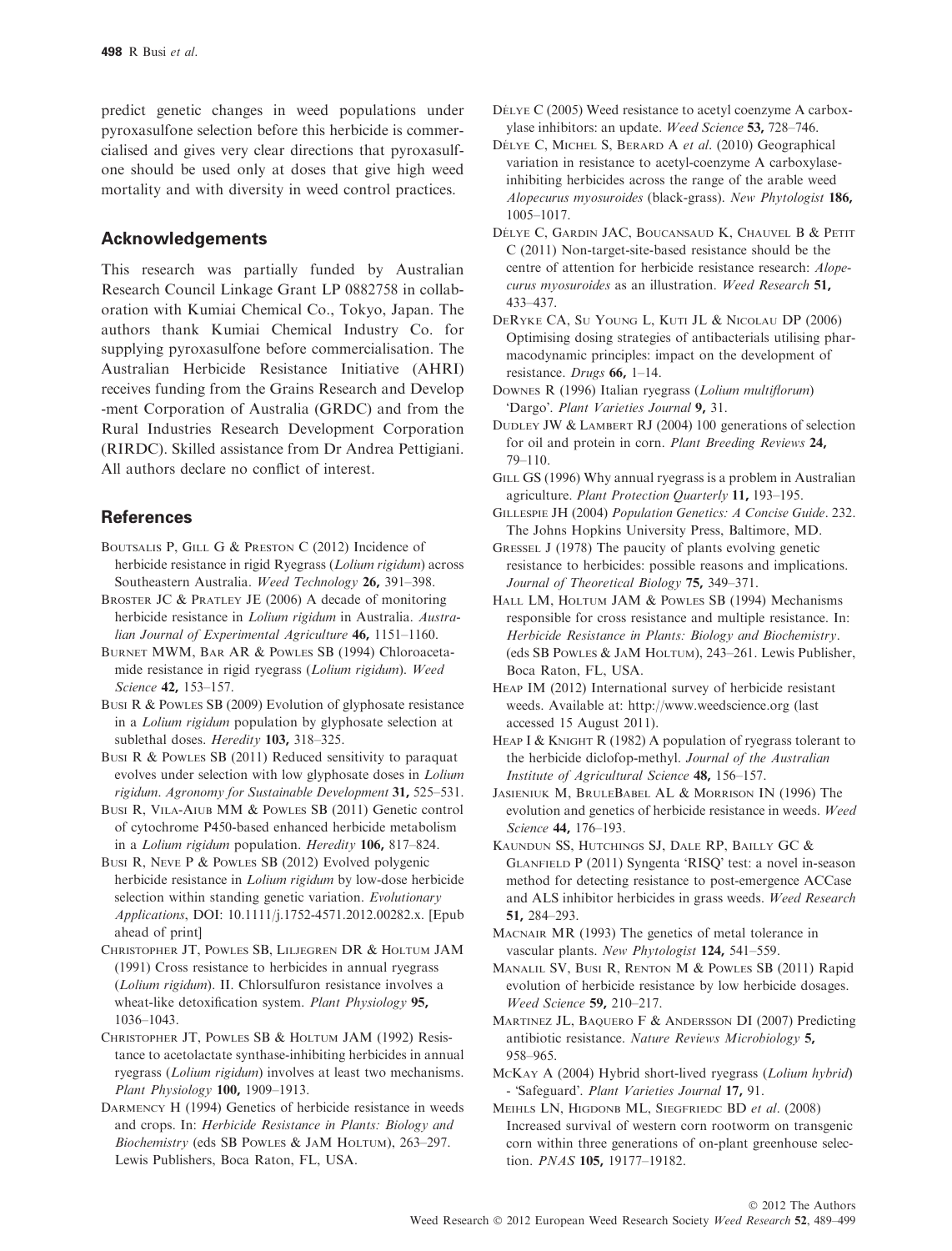predict genetic changes in weed populations under pyroxasulfone selection before this herbicide is commercialised and gives very clear directions that pyroxasulfone should be used only at doses that give high weed mortality and with diversity in weed control practices.

## Acknowledgements

This research was partially funded by Australian Research Council Linkage Grant LP 0882758 in collaboration with Kumiai Chemical Co., Tokyo, Japan. The authors thank Kumiai Chemical Industry Co. for supplying pyroxasulfone before commercialisation. The Australian Herbicide Resistance Initiative (AHRI) receives funding from the Grains Research and Develop -ment Corporation of Australia (GRDC) and from the Rural Industries Research Development Corporation (RIRDC). Skilled assistance from Dr Andrea Pettigiani. All authors declare no conflict of interest.

## **References**

- BOUTSALIS P, GILL G & PRESTON C (2012) Incidence of herbicide resistance in rigid Ryegrass (Lolium rigidum) across Southeastern Australia. Weed Technology 26, 391–398.
- BROSTER JC & PRATLEY JE (2006) A decade of monitoring herbicide resistance in Lolium rigidum in Australia. Australian Journal of Experimental Agriculture 46, 1151-1160.
- BURNET MWM, BAR AR & POWLES SB (1994) Chloroacetamide resistance in rigid ryegrass (Lolium rigidum). Weed Science 42, 153–157.
- BUSI R & POWLES SB (2009) Evolution of glyphosate resistance in a Lolium rigidum population by glyphosate selection at sublethal doses. Heredity 103, 318–325.
- BUSI R & POWLES SB (2011) Reduced sensitivity to paraquat evolves under selection with low glyphosate doses in Lolium rigidum. Agronomy for Sustainable Development 31, 525–531.
- BUSI R, VILA-AIUB MM & POWLES SB (2011) Genetic control of cytochrome P450-based enhanced herbicide metabolism in a Lolium rigidum population. Heredity 106, 817–824.
- BUSI R, NEVE P & POWLES SB (2012) Evolved polygenic herbicide resistance in Lolium rigidum by low-dose herbicide selection within standing genetic variation. Evolutionary Applications, DOI: 10.1111/j.1752-4571.2012.00282.x. [Epub ahead of print]
- CHRISTOPHER JT, POWLES SB, LILJEGREN DR & HOLTUM JAM (1991) Cross resistance to herbicides in annual ryegrass (Lolium rigidum). II. Chlorsulfuron resistance involves a wheat-like detoxification system. Plant Physiology 95, 1036–1043.
- CHRISTOPHER JT, POWLES SB & HOLTUM JAM (1992) Resistance to acetolactate synthase-inhibiting herbicides in annual ryegrass (Lolium rigidum) involves at least two mechanisms. Plant Physiology 100, 1909–1913.
- DARMENCY H (1994) Genetics of herbicide resistance in weeds and crops. In: Herbicide Resistance in Plants: Biology and Biochemistry (eds SB POWLES & JAM HOLTUM), 263–297. Lewis Publishers, Boca Raton, FL, USA.
- DÉLYE C (2005) Weed resistance to acetyl coenzyme A carboxylase inhibitors: an update. Weed Science 53, 728–746.
- DÉLYE C, MICHEL S, BERARD A et al. (2010) Geographical variation in resistance to acetyl-coenzyme A carboxylaseinhibiting herbicides across the range of the arable weed Alopecurus myosuroides (black-grass). New Phytologist 186, 1005–1017.
- DÉLYE C, GARDIN JAC, BOUCANSAUD K, CHAUVEL B & PETIT C (2011) Non-target-site-based resistance should be the centre of attention for herbicide resistance research: Alopecurus myosuroides as an illustration. Weed Research 51, 433–437.
- DERYKE CA, S<sup>U</sup> YOUNG L, KUTI JL & NICOLAU DP (2006) Optimising dosing strategies of antibacterials utilising pharmacodynamic principles: impact on the development of resistance. Drugs 66, 1–14.
- DOWNES R (1996) Italian ryegrass (Lolium multiflorum) 'Dargo'. Plant Varieties Journal 9, 31.
- DUDLEY JW & LAMBERT RJ (2004) 100 generations of selection for oil and protein in corn. Plant Breeding Reviews 24, 79–110.
- GILL GS (1996) Why annual ryegrass is a problem in Australian agriculture. Plant Protection Quarterly 11, 193–195.
- GILLESPIE JH (2004) Population Genetics: A Concise Guide. 232. The Johns Hopkins University Press, Baltimore, MD.
- GRESSEL J (1978) The paucity of plants evolving genetic resistance to herbicides: possible reasons and implications. Journal of Theoretical Biology 75, 349–371.
- HALL LM, HOLTUM JAM & POWLES SB (1994) Mechanisms responsible for cross resistance and multiple resistance. In: Herbicide Resistance in Plants: Biology and Biochemistry. (eds SB POWLES & JAM HOLTUM), 243–261. Lewis Publisher, Boca Raton, FL, USA.
- HEAP IM (2012) International survey of herbicide resistant weeds. Available at: http://www.weedscience.org (last accessed 15 August 2011).

HEAP I & KNIGHT R (1982) A population of ryegrass tolerant to the herbicide diclofop-methyl. Journal of the Australian Institute of Agricultural Science 48, 156–157.

- JASIENIUK M, BRULEBABEL AL & MORRISON IN (1996) The evolution and genetics of herbicide resistance in weeds. Weed Science 44, 176–193.
- KAUNDUN SS, HUTCHINGS SJ, DALE RP, BAILLY GC & GLANFIELD  $P(2011)$  Syngenta 'RISO' test: a novel in-season method for detecting resistance to post-emergence ACCase and ALS inhibitor herbicides in grass weeds. Weed Research 51, 284–293.
- MACNAIR MR (1993) The genetics of metal tolerance in vascular plants. New Phytologist 124, 541–559.
- MANALIL SV, BUSI R, RENTON M & POWLES SB (2011) Rapid evolution of herbicide resistance by low herbicide dosages. Weed Science 59, 210–217.
- MARTINEZ JL, BAQUERO F & ANDERSSON DI (2007) Predicting antibiotic resistance. Nature Reviews Microbiology 5, 958–965.
- MCKAY A (2004) Hybrid short-lived ryegrass (Lolium hybrid) - Safeguard. Plant Varieties Journal 17, 91.
- MEIHLS LN, HIGDONB ML, SIEGFRIEDC BD et al. (2008) Increased survival of western corn rootworm on transgenic corn within three generations of on-plant greenhouse selection. PNAS 105, 19177–19182.